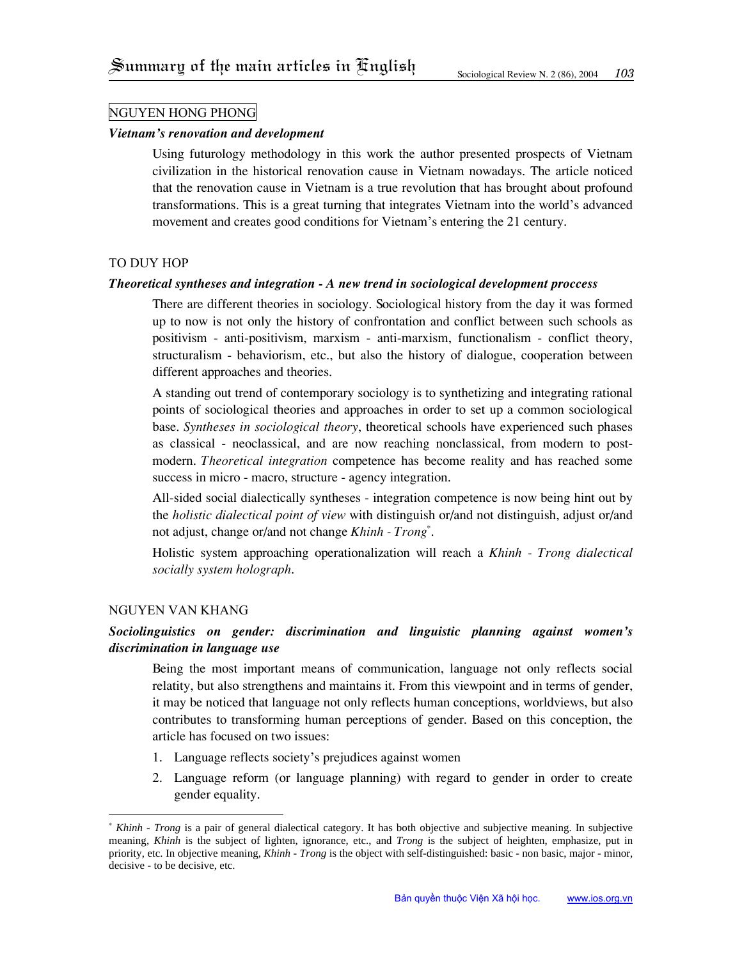## Nguyen Hong Phong

### *Vietnam's renovation and development*

Using futurology methodology in this work the author presented prospects of Vietnam civilization in the historical renovation cause in Vietnam nowadays. The article noticed that the renovation cause in Vietnam is a true revolution that has brought about profound transformations. This is a great turning that integrates Vietnam into the world's advanced movement and creates good conditions for Vietnam's entering the 21 century.

### To Duy Hop

### *Theoretical syntheses and integration - A new trend in sociological development proccess*

There are different theories in sociology. Sociological history from the day it was formed up to now is not only the history of confrontation and conflict between such schools as positivism - anti-positivism, marxism - anti-marxism, functionalism - conflict theory, structuralism - behaviorism, etc., but also the history of dialogue, cooperation between different approaches and theories.

A standing out trend of contemporary sociology is to synthetizing and integrating rational points of sociological theories and approaches in order to set up a common sociological base. *Syntheses in sociological theory*, theoretical schools have experienced such phases as classical - neoclassical, and are now reaching nonclassical, from modern to postmodern. *Theoretical integration* competence has become reality and has reached some success in micro - macro, structure - agency integration.

All-sided social dialectically syntheses - integration competence is now being hint out by the *holistic dialectical point of view* with distinguish or/and not distinguish, adjust or/and not adjust, change or/and not change *Khinh - Trong[\\*](#page-0-0)* .

Holistic system approaching operationalization will reach a *Khinh - Trong dialectical socially system holograph*.

### Nguyen Van Khang

# *Sociolinguistics on gender: discrimination and linguistic planning against women's discrimination in language use*

Being the most important means of communication, language not only reflects social relatity, but also strengthens and maintains it. From this viewpoint and in terms of gender, it may be noticed that language not only reflects human conceptions, worldviews, but also contributes to transforming human perceptions of gender. Based on this conception, the article has focused on two issues:

- 1. Language reflects society's prejudices against women
- 2. Language reform (or language planning) with regard to gender in order to create gender equality.

<span id="page-0-0"></span> <sup>\*</sup> *Khinh - Trong* is a pair of general dialectical category. It has both objective and subjective meaning. In subjective meaning, *Khinh* is the subject of lighten, ignorance, etc., and *Trong* is the subject of heighten, emphasize, put in priority, etc. In objective meaning, *Khinh - Trong* is the object with self-distinguished: basic - non basic, major - minor, decisive - to be decisive, etc.